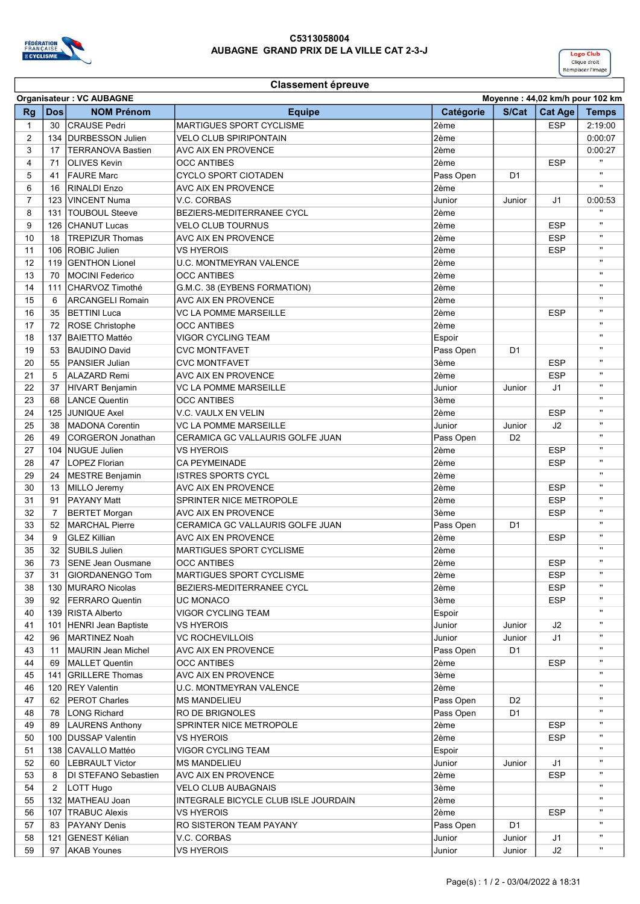

## C5313058004 AUBAGNE GRAND PRIX DE LA VILLE CAT 2-3-J



## Classement épreuve

|                | <b>Organisateur: VC AUBAGNE</b><br>Moyenne: 44,02 km/h pour 102 km |                            |                                      |           |                |                |                |
|----------------|--------------------------------------------------------------------|----------------------------|--------------------------------------|-----------|----------------|----------------|----------------|
| <b>Rg</b>      | <b>Dos</b>                                                         | <b>NOM Prénom</b>          | <b>Equipe</b>                        | Catégorie | S/Cat          | <b>Cat Age</b> | <b>Temps</b>   |
| $\mathbf{1}$   | 30                                                                 | <b>CRAUSE</b> Pedri        | <b>MARTIGUES SPORT CYCLISME</b>      | 2ème      |                | <b>ESP</b>     | 2:19:00        |
| 2              | 134                                                                | DURBESSON Julien           | VELO CLUB SPIRIPONTAIN               | 2ème      |                |                | 0:00:07        |
| 3              | 17                                                                 | <b>TERRANOVA Bastien</b>   | AVC AIX EN PROVENCE                  | 2ème      |                |                | 0:00:27        |
| $\overline{4}$ | 71                                                                 | <b>OLIVES Kevin</b>        | <b>OCC ANTIBES</b>                   | 2ème      |                | <b>ESP</b>     |                |
| 5              | 41                                                                 | <b>FAURE Marc</b>          | <b>CYCLO SPORT CIOTADEN</b>          | Pass Open | D <sub>1</sub> |                | $\mathbf{u}$   |
| 6              | 16                                                                 | RINALDI Enzo               | AVC AIX EN PROVENCE                  | 2ème      |                |                | $\mathbf{H}$   |
| $\overline{7}$ | 123                                                                | VINCENT Numa               | V.C. CORBAS                          | Junior    | Junior         | J <sub>1</sub> | 0:00:53        |
| 8              | 131                                                                | <b>TOUBOUL Steeve</b>      | BEZIERS-MEDITERRANEE CYCL            | 2ème      |                |                | $\blacksquare$ |
| 9              |                                                                    | CHANUT Lucas               | <b>VELO CLUB TOURNUS</b>             | 2ème      |                | <b>ESP</b>     | $\mathbf{H}$   |
|                | 126                                                                |                            |                                      |           |                |                | $\mathbf{H}$   |
| 10             | 18                                                                 | <b>TREPIZUR Thomas</b>     | AVC AIX EN PROVENCE                  | 2ème      |                | <b>ESP</b>     | $\mathbf{H}$   |
| 11             | 106                                                                | <b>ROBIC Julien</b>        | <b>VS HYEROIS</b>                    | 2ème      |                | <b>ESP</b>     | $\mathbf{H}$   |
| 12             | 119                                                                | <b>GENTHON Lionel</b>      | <b>U.C. MONTMEYRAN VALENCE</b>       | 2ème      |                |                | $\mathbf{H}$   |
| 13             | 70                                                                 | MOCINI Federico            | <b>OCC ANTIBES</b>                   | 2ème      |                |                | $\mathbf{H}$   |
| 14             | 111                                                                | <b>ICHARVOZ Timothé</b>    | G.M.C. 38 (EYBENS FORMATION)         | 2ème      |                |                |                |
| 15             | 6                                                                  | <b>ARCANGELI Romain</b>    | <b>AVC AIX EN PROVENCE</b>           | 2ème      |                |                | $\mathbf{H}$   |
| 16             | 35                                                                 | BETTINI Luca               | VC LA POMME MARSEILLE                | 2ème      |                | <b>ESP</b>     | $\mathbf{u}$   |
| 17             | 72                                                                 | ROSE Christophe            | <b>OCC ANTIBES</b>                   | 2ème      |                |                | $\mathbf{H}$   |
| 18             | 137                                                                | BAIETTO Mattéo             | VIGOR CYCLING TEAM                   | Espoir    |                |                | $\mathbf{H}$   |
| 19             | 53                                                                 | BAUDINO David              | <b>CVC MONTFAVET</b>                 | Pass Open | D <sub>1</sub> |                | $\mathbf{H}$   |
| 20             | 55                                                                 | PANSIER Julian             | <b>CVC MONTFAVET</b>                 | 3ème      |                | <b>ESP</b>     | $\mathbf{u}$   |
| 21             | 5                                                                  | <b>ALAZARD</b> Remi        | AVC AIX EN PROVENCE                  | 2ème      |                | <b>ESP</b>     | $\mathbf{u}$   |
| 22             | 37                                                                 | HIVART Benjamin            | VC LA POMME MARSEILLE                | Junior    | Junior         | J <sub>1</sub> | $\mathbf{H}$   |
| 23             | 68                                                                 | <b>LANCE Quentin</b>       | <b>OCC ANTIBES</b>                   | 3ème      |                |                | $\mathbf{H}$   |
| 24             | 125                                                                | <b>JUNIQUE Axel</b>        | V.C. VAULX EN VELIN                  | 2ème      |                | <b>ESP</b>     | $\mathbf{u}$   |
| 25             | 38                                                                 | MADONA Corentin            | VC LA POMME MARSEILLE                | Junior    | Junior         | J2             | $\mathbf{H}$   |
| 26             | 49                                                                 | CORGERON Jonathan          | CERAMICA GC VALLAURIS GOLFE JUAN     | Pass Open | D <sub>2</sub> |                | $\mathbf{u}$   |
| 27             |                                                                    | 104 INUGUE Julien          | VS HYEROIS                           | 2ème      |                | <b>ESP</b>     | $\mathbf{u}$   |
| 28             | 47                                                                 | LOPEZ Florian              | <b>CA PEYMEINADE</b>                 | 2ème      |                | <b>ESP</b>     | $\mathbf{H}$   |
| 29             | 24                                                                 | MESTRE Benjamin            | <b>ISTRES SPORTS CYCL</b>            | 2ème      |                |                | $\mathbf{u}$   |
| 30             | 13                                                                 | MILLO Jeremy               | AVC AIX EN PROVENCE                  | 2ème      |                | <b>ESP</b>     | $\mathbf{H}$   |
| 31             | 91                                                                 | PAYANY Matt                | SPRINTER NICE METROPOLE              | 2ème      |                | <b>ESP</b>     | $\mathbf{H}$   |
| 32             | $\overline{7}$                                                     | <b>BERTET Morgan</b>       | AVC AIX EN PROVENCE                  | 3ème      |                | <b>ESP</b>     | $\mathbf{H}$   |
| 33             | 52                                                                 | MARCHAL Pierre             | CERAMICA GC VALLAURIS GOLFE JUAN     | Pass Open | D <sub>1</sub> |                | $\mathbf{u}$   |
| 34             | 9                                                                  | <b>GLEZ Killian</b>        | AVC AIX EN PROVENCE                  | 2ème      |                | <b>ESP</b>     | $\mathbf{u}$   |
|                |                                                                    |                            |                                      |           |                |                | $\mathbf{H}$   |
| 35             | 32                                                                 | <b>SUBILS Julien</b>       | MARTIGUES SPORT CYCLISME             | 2ème      |                |                | $\mathbf{H}$   |
| 36             | 73                                                                 | SENE Jean Ousmane          | <b>OCC ANTIBES</b>                   | 2ème      |                | <b>ESP</b>     |                |
| 37             | 31                                                                 | GIORDANENGO Tom            | MARTIGUES SPORT CYCLISME             | 2ème      |                | ESP            | $\mathbf{u}$   |
| 38             |                                                                    | 130   MURARO Nicolas       | <b>BEZIERS-MEDITERRANEE CYCL</b>     | 2ème      |                | <b>ESP</b>     | $\mathbf{H}$   |
| 39             | 92                                                                 | <b>IFERRARO Quentin</b>    | UC MONACO                            | 3ème      |                | <b>ESP</b>     |                |
| 40             |                                                                    | 139 RISTA Alberto          | VIGOR CYCLING TEAM                   | Espoir    |                |                | $\mathbf{H}$   |
| 41             |                                                                    | 101 HENRI Jean Baptiste    | VS HYEROIS                           | Junior    | Junior         | J2             | Π.             |
| 42             | 96                                                                 | <b>IMARTINEZ Noah</b>      | VC ROCHEVILLOIS                      | Junior    | Junior         | J <sub>1</sub> | Π.             |
| 43             | 11                                                                 | <b>IMAURIN Jean Michel</b> | AVC AIX EN PROVENCE                  | Pass Open | D <sub>1</sub> |                | $\mathbf{H}$   |
| 44             | 69                                                                 | MALLET Quentin             | <b>OCC ANTIBES</b>                   | 2ème      |                | <b>ESP</b>     | $\mathbf{H}$   |
| 45             |                                                                    | 141 GRILLERE Thomas        | AVC AIX EN PROVENCE                  | 3ème      |                |                | $\mathbf{H}$   |
| 46             |                                                                    | 120   REY Valentin         | <b>U.C. MONTMEYRAN VALENCE</b>       | 2ème      |                |                | п              |
| 47             | 62                                                                 | <b>PEROT Charles</b>       | <b>IMS MANDELIEU</b>                 | Pass Open | D <sub>2</sub> |                | $\mathbf{u}$   |
| 48             | 78                                                                 | LONG Richard               | RO DE BRIGNOLES                      | Pass Open | D <sub>1</sub> |                | $\mathbf{H}$   |
| 49             | 89                                                                 | <b>LAURENS Anthony</b>     | SPRINTER NICE METROPOLE              | 2ème      |                | <b>ESP</b>     | $\mathbf{H}$   |
| 50             |                                                                    | 100 DUSSAP Valentin        | VS HYEROIS                           | 2ème      |                | <b>ESP</b>     |                |
| 51             |                                                                    | 138 CAVALLO Mattéo         | <b>VIGOR CYCLING TEAM</b>            | Espoir    |                |                | $\mathbf{u}$   |
| 52             | 60                                                                 | <b>LEBRAULT Victor</b>     | <b>MS MANDELIEU</b>                  | Junior    | Junior         | J1             | $\mathbf{H}$   |
| 53             | 8                                                                  | DI STEFANO Sebastien       | AVC AIX EN PROVENCE                  | 2ème      |                | <b>ESP</b>     | $\mathbf{H}$   |
| 54             | 2                                                                  | LOTT Hugo                  | VELO CLUB AUBAGNAIS                  | 3ème      |                |                | п              |
| 55             |                                                                    | 132   MATHEAU Joan         | INTEGRALE BICYCLE CLUB ISLE JOURDAIN | 2ème      |                |                |                |
| 56             |                                                                    | 107   TRABUC Alexis        | VS HYEROIS                           | 2ème      |                | <b>ESP</b>     | $\mathbf{H}$   |
| 57             | 83                                                                 | <b>PAYANY Denis</b>        | RO SISTERON TEAM PAYANY              | Pass Open | D <sub>1</sub> |                | $\mathbf{H}$   |
| 58             |                                                                    | 121 GENEST Kélian          |                                      |           |                |                | $\mathbf{H}$   |
|                |                                                                    |                            | V.C. CORBAS                          | Junior    | Junior         | J1             | $\mathbf{H}$   |
| 59             | 97                                                                 | <b>AKAB Younes</b>         | <b>VS HYEROIS</b>                    | Junior    | Junior         | J2             |                |